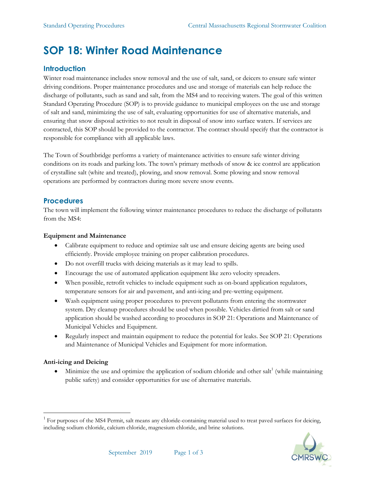# **SOP 18: Winter Road Maintenance**

# **Introduction**

Winter road maintenance includes snow removal and the use of salt, sand, or deicers to ensure safe winter driving conditions. Proper maintenance procedures and use and storage of materials can help reduce the discharge of pollutants, such as sand and salt, from the MS4 and to receiving waters. The goal of this written Standard Operating Procedure (SOP) is to provide guidance to municipal employees on the use and storage of salt and sand, minimizing the use of salt, evaluating opportunities for use of alternative materials, and ensuring that snow disposal activities to not result in disposal of snow into surface waters. If services are contracted, this SOP should be provided to the contractor. The contract should specify that the contractor is responsible for compliance with all applicable laws.

The Town of Southbridge performs a variety of maintenance activities to ensure safe winter driving conditions on its roads and parking lots. The town's primary methods of snow & ice control are application of crystalline salt (white and treated), plowing, and snow removal. Some plowing and snow removal operations are performed by contractors during more severe snow events.

## **Procedures**

The town will implement the following winter maintenance procedures to reduce the discharge of pollutants from the MS4:

### **Equipment and Maintenance**

- Calibrate equipment to reduce and optimize salt use and ensure deicing agents are being used efficiently. Provide employee training on proper calibration procedures.
- Do not overfill trucks with deicing materials as it may lead to spills.
- Encourage the use of automated application equipment like zero velocity spreaders.
- When possible, retrofit vehicles to include equipment such as on-board application regulators, temperature sensors for air and pavement, and anti-icing and pre-wetting equipment.
- Wash equipment using proper procedures to prevent pollutants from entering the stormwater system. Dry cleanup procedures should be used when possible. Vehicles dirtied from salt or sand application should be washed according to procedures in SOP 21: Operations and Maintenance of Municipal Vehicles and Equipment.
- Regularly inspect and maintain equipment to reduce the potential for leaks. See SOP 21: Operations and Maintenance of Municipal Vehicles and Equipment for more information.

## **Anti-icing and Deicing**

• Minimize the use and optimize the application of sodium chloride and other salt<sup>1</sup> (while maintaining public safety) and consider opportunities for use of alternative materials.

<sup>&</sup>lt;sup>1</sup> For purposes of the MS4 Permit, salt means any chloride-containing material used to treat paved surfaces for deicing, including sodium chloride, calcium chloride, magnesium chloride, and brine solutions.

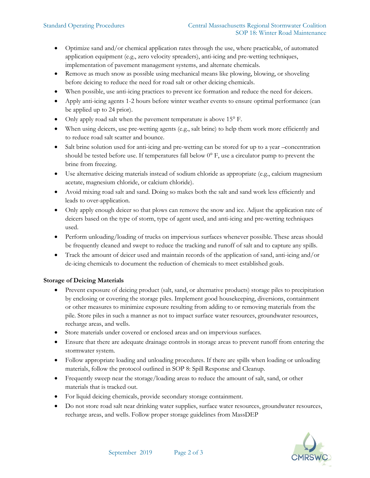- Optimize sand and/or chemical application rates through the use, where practicable, of automated application equipment (e.g., zero velocity spreaders), anti-icing and pre-wetting techniques, implementation of pavement management systems, and alternate chemicals.
- Remove as much snow as possible using mechanical means like plowing, blowing, or shoveling before deicing to reduce the need for road salt or other deicing chemicals.
- When possible, use anti-icing practices to prevent ice formation and reduce the need for deicers.
- Apply anti-icing agents 1-2 hours before winter weather events to ensure optimal performance (can be applied up to 24 prior).
- Only apply road salt when the pavement temperature is above 15° F.
- When using deicers, use pre-wetting agents (e.g., salt brine) to help them work more efficiently and to reduce road salt scatter and bounce.
- Salt brine solution used for anti-icing and pre-wetting can be stored for up to a year –concentration should be tested before use. If temperatures fall below  $0^{\circ}$  F, use a circulator pump to prevent the brine from freezing.
- Use alternative deicing materials instead of sodium chloride as appropriate (e.g., calcium magnesium acetate, magnesium chloride, or calcium chloride).
- Avoid mixing road salt and sand. Doing so makes both the salt and sand work less efficiently and leads to over-application.
- Only apply enough deicer so that plows can remove the snow and ice. Adjust the application rate of deicers based on the type of storm, type of agent used, and anti-icing and pre-wetting techniques used.
- Perform unloading/loading of trucks on impervious surfaces whenever possible. These areas should be frequently cleaned and swept to reduce the tracking and runoff of salt and to capture any spills.
- Track the amount of deicer used and maintain records of the application of sand, anti-icing and/or de-icing chemicals to document the reduction of chemicals to meet established goals.

#### **Storage of Deicing Materials**

- Prevent exposure of deicing product (salt, sand, or alternative products) storage piles to precipitation by enclosing or covering the storage piles. Implement good housekeeping, diversions, containment or other measures to minimize exposure resulting from adding to or removing materials from the pile. Store piles in such a manner as not to impact surface water resources, groundwater resources, recharge areas, and wells.
- Store materials under covered or enclosed areas and on impervious surfaces.
- Ensure that there are adequate drainage controls in storage areas to prevent runoff from entering the stormwater system.
- Follow appropriate loading and unloading procedures. If there are spills when loading or unloading materials, follow the protocol outlined in SOP 8: Spill Response and Cleanup.
- Frequently sweep near the storage/loading areas to reduce the amount of salt, sand, or other materials that is tracked out.
- For liquid deicing chemicals, provide secondary storage containment.
- Do not store road salt near drinking water supplies, surface water resources, groundwater resources, recharge areas, and wells. Follow proper storage guidelines from MassDEP